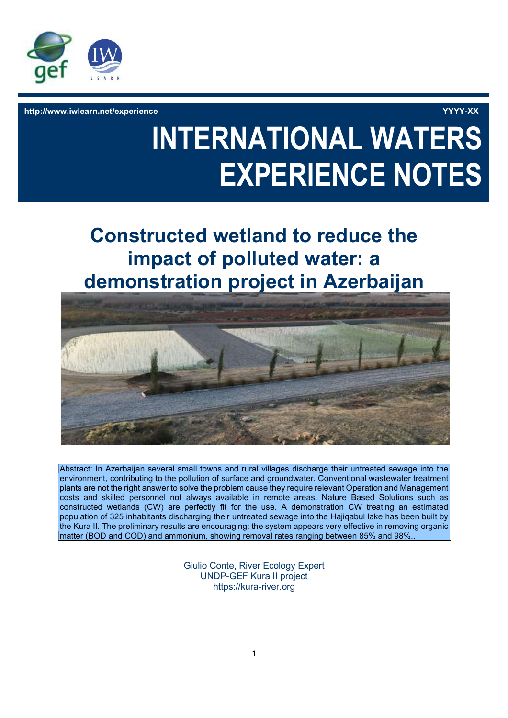

http://www.iwlearn.net/experience YYYY-XX

# INTERNATIONAL WATERS EXPERIENCE NOTES

# Constructed wetland to reduce the impact of polluted water: a demonstration project in Azerbaijan



Abstract: In Azerbaijan several small towns and rural villages discharge their untreated sewage into the environment, contributing to the pollution of surface and groundwater. Conventional wastewater treatment plants are not the right answer to solve the problem cause they require relevant Operation and Management costs and skilled personnel not always available in remote areas. Nature Based Solutions such as constructed wetlands (CW) are perfectly fit for the use. A demonstration CW treating an estimated population of 325 inhabitants discharging their untreated sewage into the Hajiqabul lake has been built by the Kura II. The preliminary results are encouraging: the system appears very effective in removing organic matter (BOD and COD) and ammonium, showing removal rates ranging between 85% and 98%..

> Giulio Conte, River Ecology Expert UNDP-GEF Kura II project https://kura-river.org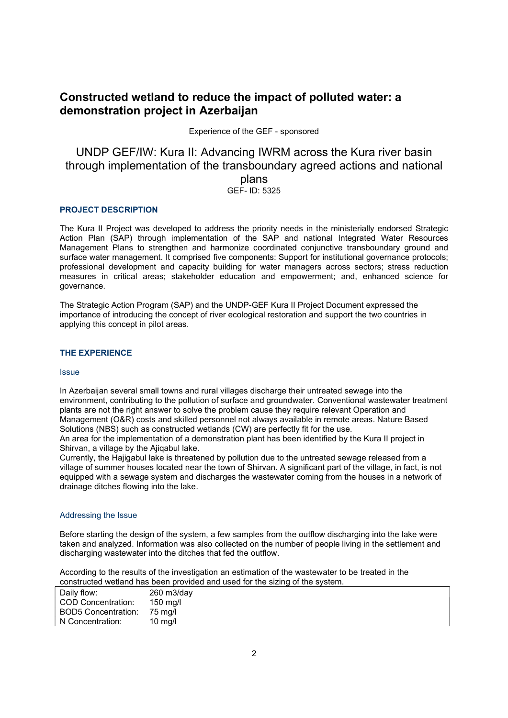## Constructed wetland to reduce the impact of polluted water: a demonstration project in Azerbaijan

Experience of the GEF - sponsored

### UNDP GEF/IW: Kura II: Advancing IWRM across the Kura river basin through implementation of the transboundary agreed actions and national plans GEF- ID: 5325

#### PROJECT DESCRIPTION

The Kura II Project was developed to address the priority needs in the ministerially endorsed Strategic Action Plan (SAP) through implementation of the SAP and national Integrated Water Resources Management Plans to strengthen and harmonize coordinated conjunctive transboundary ground and surface water management. It comprised five components: Support for institutional governance protocols; professional development and capacity building for water managers across sectors; stress reduction measures in critical areas; stakeholder education and empowerment; and, enhanced science for governance.

The Strategic Action Program (SAP) and the UNDP-GEF Kura II Project Document expressed the importance of introducing the concept of river ecological restoration and support the two countries in applying this concept in pilot areas.

#### THE EXPERIENCE

#### Issue

In Azerbaijan several small towns and rural villages discharge their untreated sewage into the environment, contributing to the pollution of surface and groundwater. Conventional wastewater treatment plants are not the right answer to solve the problem cause they require relevant Operation and Management (O&R) costs and skilled personnel not always available in remote areas. Nature Based Solutions (NBS) such as constructed wetlands (CW) are perfectly fit for the use.

An area for the implementation of a demonstration plant has been identified by the Kura II project in Shirvan, a village by the Ajiqabul lake.

Currently, the Hajigabul lake is threatened by pollution due to the untreated sewage released from a village of summer houses located near the town of Shirvan. A significant part of the village, in fact, is not equipped with a sewage system and discharges the wastewater coming from the houses in a network of drainage ditches flowing into the lake.

#### Addressing the Issue

Before starting the design of the system, a few samples from the outflow discharging into the lake were taken and analyzed. Information was also collected on the number of people living in the settlement and discharging wastewater into the ditches that fed the outflow.

According to the results of the investigation an estimation of the wastewater to be treated in the constructed wetland has been provided and used for the sizing of the system.

| Daily flow:                | 260 m3/day |
|----------------------------|------------|
| <b>COD Concentration:</b>  | 150 mg/l   |
| <b>BOD5 Concentration:</b> | 75 mg/l    |
| N Concentration:           | $10$ mg/l  |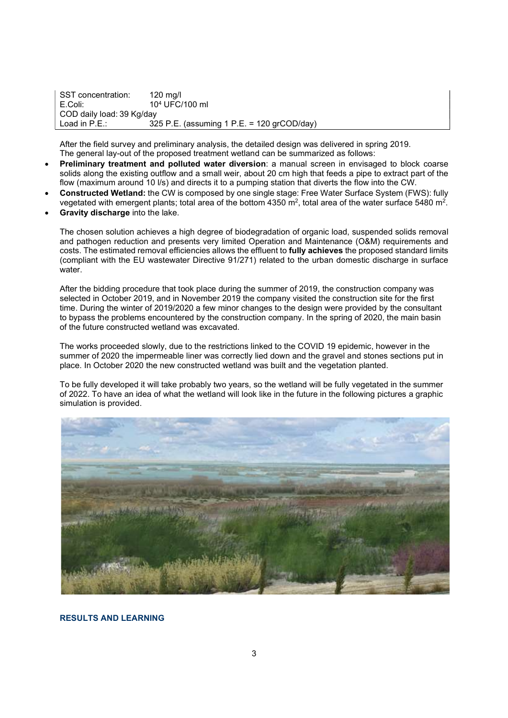SST concentration: 120 mg/l E.Coli: 10<sup>4</sup> UFC/100 ml COD daily load: 39 Kg/day Load in P.E.: 325 P.E. (assuming 1 P.E. = 120 grCOD/day)

After the field survey and preliminary analysis, the detailed design was delivered in spring 2019. The general lay-out of the proposed treatment wetland can be summarized as follows:

- Preliminary treatment and polluted water diversion: a manual screen in envisaged to block coarse solids along the existing outflow and a small weir, about 20 cm high that feeds a pipe to extract part of the flow (maximum around 10 l/s) and directs it to a pumping station that diverts the flow into the CW.
- Constructed Wetland: the CW is composed by one single stage: Free Water Surface System (FWS): fully vegetated with emergent plants; total area of the bottom 4350 m², total area of the water surface 5480 m².
- Gravity discharge into the lake.

The chosen solution achieves a high degree of biodegradation of organic load, suspended solids removal and pathogen reduction and presents very limited Operation and Maintenance (O&M) requirements and costs. The estimated removal efficiencies allows the effluent to fully achieves the proposed standard limits (compliant with the EU wastewater Directive 91/271) related to the urban domestic discharge in surface water.

After the bidding procedure that took place during the summer of 2019, the construction company was selected in October 2019, and in November 2019 the company visited the construction site for the first time. During the winter of 2019/2020 a few minor changes to the design were provided by the consultant to bypass the problems encountered by the construction company. In the spring of 2020, the main basin of the future constructed wetland was excavated.

The works proceeded slowly, due to the restrictions linked to the COVID 19 epidemic, however in the summer of 2020 the impermeable liner was correctly lied down and the gravel and stones sections put in place. In October 2020 the new constructed wetland was built and the vegetation planted.

To be fully developed it will take probably two years, so the wetland will be fully vegetated in the summer of 2022. To have an idea of what the wetland will look like in the future in the following pictures a graphic simulation is provided.



#### RESULTS AND LEARNING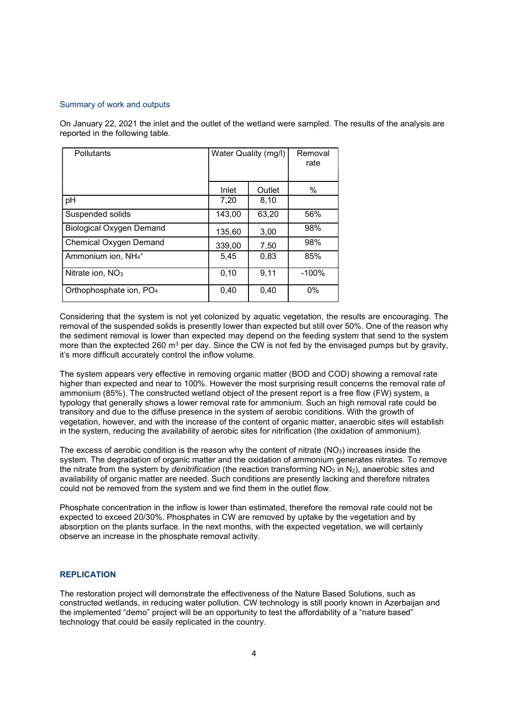#### Summary of work and outputs

On January 22, 2021 the inlet and the outlet of the wetland were sampled. The results of the analysis are reported in the following table.

| <b>Pollutants</b>                          | Water Quality (mg/l) |        | Removal<br>rate |
|--------------------------------------------|----------------------|--------|-----------------|
|                                            | Inlet                | Outlet | %               |
| pH                                         | 7,20                 | 8,10   |                 |
| Suspended solids                           | 143,00               | 63,20  | 56%             |
| <b>Biological Oxygen Demand</b>            | 135,60               | 3,00   | 98%             |
| <b>Chemical Oxygen Demand</b>              | 339,00               | 7,50   | 98%             |
| Ammonium ion, NH <sub>4</sub> <sup>+</sup> | 5,45                 | 0,83   | 85%             |
| Nitrate ion, $NO3$                         | 0,10                 | 9,11   | $-100%$         |
| Orthophosphate ion, PO <sub>4</sub>        | 0,40                 | 0,40   | 0%              |

Considering that the system is not yet colonized by aquatic vegetation, the results are encouraging. The removal of the suspended solids is presently lower than expected but still over 50%. One of the reason why the sediment removal is lower than expected may depend on the feeding system that send to the system more than the exptected 260 m<sup>3</sup> per day. Since the CW is not fed by the envisaged pumps but by gravity, it's more difficult accurately control the inflow volume.

The system appears very effective in removing organic matter (BOD and COD) showing a removal rate higher than expected and near to 100%. However the most surprising result concerns the removal rate of ammonium (85%). The constructed wetland object of the present report is a free flow (FW) system, a typology that generally shows a lower removal rate for ammonium. Such an high removal rate could be transitory and due to the diffuse presence in the system of aerobic conditions. With the growth of vegetation, however, and with the increase of the content of organic matter, anaerobic sites will establish in the system, reducing the availability of aerobic sites for nitrification (the oxidation of ammonium).

The excess of aerobic condition is the reason why the content of nitrate  $(NO<sub>3</sub>)$  increases inside the system. The degradation of organic matter and the oxidation of ammonium generates nitrates. To remove the nitrate from the system by *denitrification* (the reaction transforming  $NO<sub>3</sub>$  in  $N<sub>2</sub>$ ), anaerobic sites and availability of organic matter are needed. Such conditions are presently lacking and therefore nitrates could not be removed from the system and we find them in the outlet flow.

Phosphate concentration in the inflow is lower than estimated, therefore the removal rate could not be expected to exceed 20/30%. Phosphates in CW are removed by uptake by the vegetation and by absorption on the plants surface. In the next months, with the expected vegetation, we will certainly observe an increase in the phosphate removal activity.

#### **REPLICATION**

The restoration project will demonstrate the effectiveness of the Nature Based Solutions, such as constructed wetlands, in reducing water pollution. CW technology is still poorly known in Azerbaijan and the implemented "demo" project will be an opportunity to test the affordability of a "nature based" technology that could be easily replicated in the country.